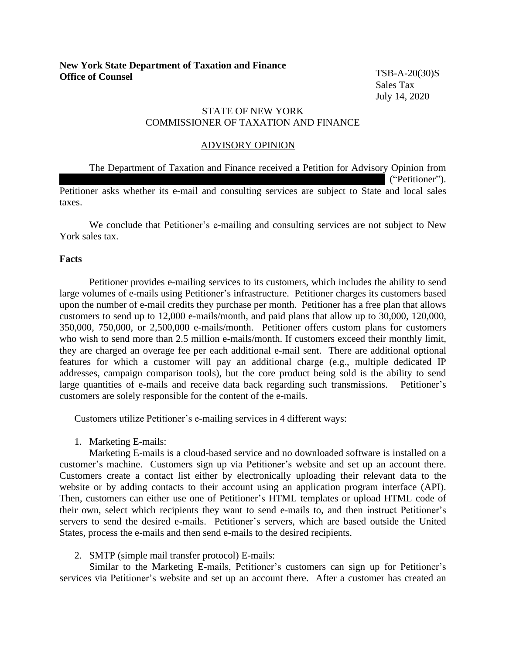TSB-A-20(30)S Sales Tax July 14, 2020

# STATE OF NEW YORK COMMISSIONER OF TAXATION AND FINANCE

## ADVISORY OPINION

The Department of Taxation and Finance received a Petition for Advisory Opinion from ("Petitioner"). Petitioner asks whether its e-mail and consulting services are subject to State and local sales taxes.

We conclude that Petitioner's e-mailing and consulting services are not subject to New York sales tax.

## **Facts**

Petitioner provides e-mailing services to its customers, which includes the ability to send large volumes of e-mails using Petitioner's infrastructure. Petitioner charges its customers based upon the number of e-mail credits they purchase per month. Petitioner has a free plan that allows customers to send up to 12,000 e-mails/month, and paid plans that allow up to 30,000, 120,000, 350,000, 750,000, or 2,500,000 e-mails/month. Petitioner offers custom plans for customers who wish to send more than 2.5 million e-mails/month. If customers exceed their monthly limit, they are charged an overage fee per each additional e-mail sent. There are additional optional features for which a customer will pay an additional charge (e.g., multiple dedicated IP addresses, campaign comparison tools), but the core product being sold is the ability to send large quantities of e-mails and receive data back regarding such transmissions. Petitioner's customers are solely responsible for the content of the e-mails.

Customers utilize Petitioner's e-mailing services in 4 different ways:

1. Marketing E-mails:

Marketing E-mails is a cloud-based service and no downloaded software is installed on a customer's machine. Customers sign up via Petitioner's website and set up an account there. Customers create a contact list either by electronically uploading their relevant data to the website or by adding contacts to their account using an application program interface (API). Then, customers can either use one of Petitioner's HTML templates or upload HTML code of their own, select which recipients they want to send e-mails to, and then instruct Petitioner's servers to send the desired e-mails. Petitioner's servers, which are based outside the United States, process the e-mails and then send e-mails to the desired recipients.

# 2. SMTP (simple mail transfer protocol) E-mails:

Similar to the Marketing E-mails, Petitioner's customers can sign up for Petitioner's services via Petitioner's website and set up an account there. After a customer has created an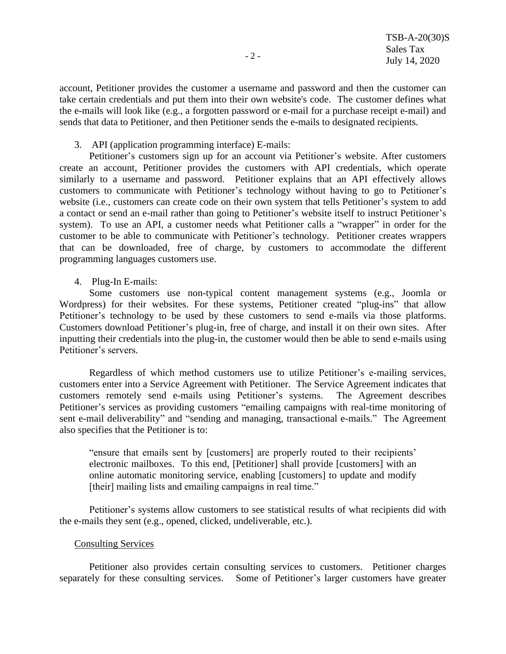account, Petitioner provides the customer a username and password and then the customer can take certain credentials and put them into their own website's code. The customer defines what the e-mails will look like (e.g., a forgotten password or e-mail for a purchase receipt e-mail) and sends that data to Petitioner, and then Petitioner sends the e-mails to designated recipients.

3. API (application programming interface) E-mails:

Petitioner's customers sign up for an account via Petitioner's website. After customers create an account, Petitioner provides the customers with API credentials, which operate similarly to a username and password. Petitioner explains that an API effectively allows customers to communicate with Petitioner's technology without having to go to Petitioner's website (i.e., customers can create code on their own system that tells Petitioner's system to add a contact or send an e-mail rather than going to Petitioner's website itself to instruct Petitioner's system). To use an API, a customer needs what Petitioner calls a "wrapper" in order for the customer to be able to communicate with Petitioner's technology. Petitioner creates wrappers that can be downloaded, free of charge, by customers to accommodate the different programming languages customers use.

4. Plug-In E-mails:

Some customers use non-typical content management systems (e.g., Joomla or Wordpress) for their websites. For these systems, Petitioner created "plug-ins" that allow Petitioner's technology to be used by these customers to send e-mails via those platforms. Customers download Petitioner's plug-in, free of charge, and install it on their own sites. After inputting their credentials into the plug-in, the customer would then be able to send e-mails using Petitioner's servers.

Regardless of which method customers use to utilize Petitioner's e-mailing services, customers enter into a Service Agreement with Petitioner. The Service Agreement indicates that customers remotely send e-mails using Petitioner's systems. The Agreement describes Petitioner's services as providing customers "emailing campaigns with real-time monitoring of sent e-mail deliverability" and "sending and managing, transactional e-mails." The Agreement also specifies that the Petitioner is to:

"ensure that emails sent by [customers] are properly routed to their recipients' electronic mailboxes. To this end, [Petitioner] shall provide [customers] with an online automatic monitoring service, enabling [customers] to update and modify [their] mailing lists and emailing campaigns in real time."

Petitioner's systems allow customers to see statistical results of what recipients did with the e-mails they sent (e.g., opened, clicked, undeliverable, etc.).

#### Consulting Services

Petitioner also provides certain consulting services to customers. Petitioner charges separately for these consulting services. Some of Petitioner's larger customers have greater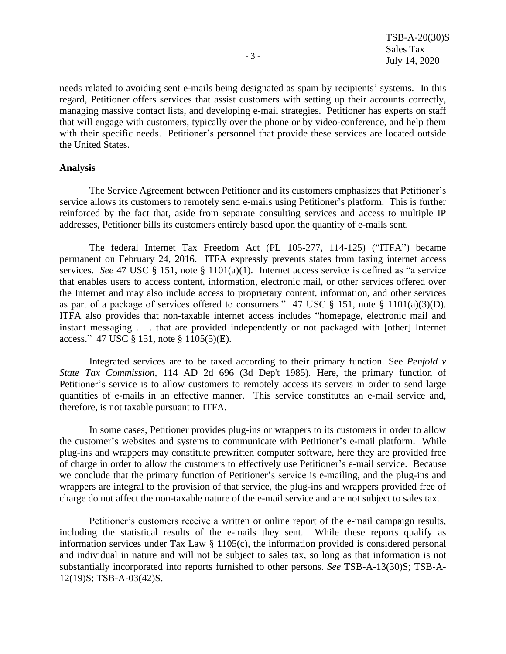needs related to avoiding sent e-mails being designated as spam by recipients' systems. In this regard, Petitioner offers services that assist customers with setting up their accounts correctly, managing massive contact lists, and developing e-mail strategies. Petitioner has experts on staff that will engage with customers, typically over the phone or by video-conference, and help them with their specific needs. Petitioner's personnel that provide these services are located outside the United States.

#### **Analysis**

The Service Agreement between Petitioner and its customers emphasizes that Petitioner's service allows its customers to remotely send e-mails using Petitioner's platform. This is further reinforced by the fact that, aside from separate consulting services and access to multiple IP addresses, Petitioner bills its customers entirely based upon the quantity of e-mails sent.

The federal Internet Tax Freedom Act (PL 105-277, 114-125) ("ITFA") became permanent on February 24, 2016. ITFA expressly prevents states from taxing internet access services. *See* 47 USC § 151, note § 1101(a)(1). Internet access service is defined as "a service that enables users to access content, information, electronic mail, or other services offered over the Internet and may also include access to proprietary content, information, and other services as part of a package of services offered to consumers." 47 USC § 151, note § 1101(a)(3)(D). ITFA also provides that non-taxable internet access includes "homepage, electronic mail and instant messaging . . . that are provided independently or not packaged with [other] Internet access." 47 USC § 151, note § 1105(5)(E).

Integrated services are to be taxed according to their primary function. See *Penfold v State Tax Commission,* 114 AD 2d 696 (3d Dep't 1985)*.* Here, the primary function of Petitioner's service is to allow customers to remotely access its servers in order to send large quantities of e-mails in an effective manner. This service constitutes an e-mail service and, therefore, is not taxable pursuant to ITFA.

In some cases, Petitioner provides plug-ins or wrappers to its customers in order to allow the customer's websites and systems to communicate with Petitioner's e-mail platform. While plug-ins and wrappers may constitute prewritten computer software, here they are provided free of charge in order to allow the customers to effectively use Petitioner's e-mail service. Because we conclude that the primary function of Petitioner's service is e-mailing, and the plug-ins and wrappers are integral to the provision of that service, the plug-ins and wrappers provided free of charge do not affect the non-taxable nature of the e-mail service and are not subject to sales tax.

Petitioner's customers receive a written or online report of the e-mail campaign results, including the statistical results of the e-mails they sent. While these reports qualify as information services under Tax Law § 1105(c), the information provided is considered personal and individual in nature and will not be subject to sales tax, so long as that information is not substantially incorporated into reports furnished to other persons. *See* TSB-A-13(30)S; TSB-A-12(19)S; TSB-A-03(42)S.